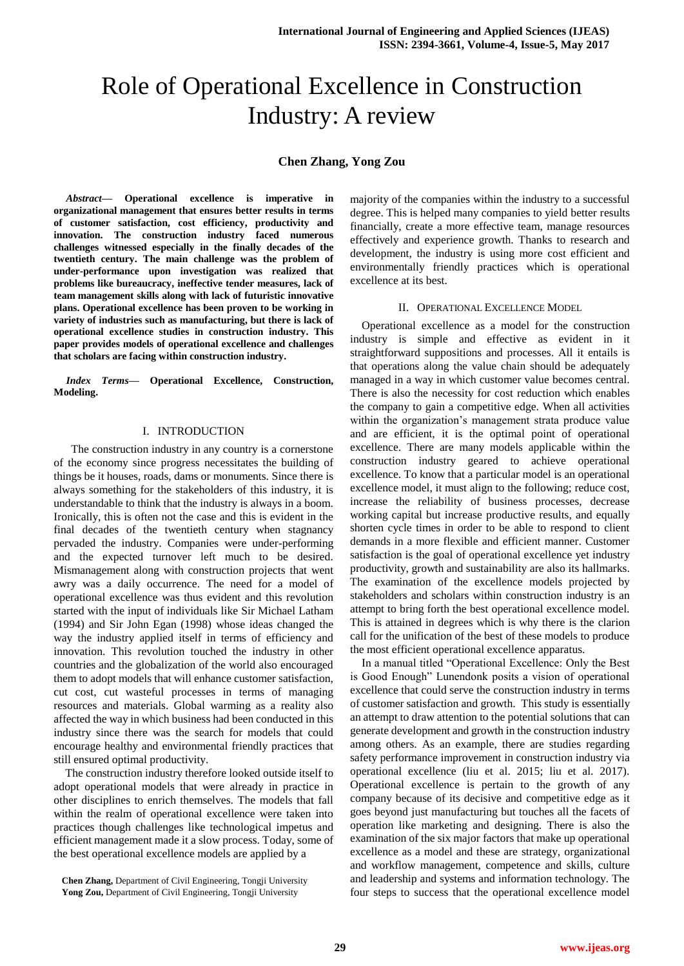# Role of Operational Excellence in Construction Industry: A review

## **Chen Zhang, Yong Zou**

*Abstract***— Operational excellence is imperative in organizational management that ensures better results in terms of customer satisfaction, cost efficiency, productivity and innovation. The construction industry faced numerous challenges witnessed especially in the finally decades of the twentieth century. The main challenge was the problem of under-performance upon investigation was realized that problems like bureaucracy, ineffective tender measures, lack of team management skills along with lack of futuristic innovative plans. Operational excellence has been proven to be working in variety of industries such as manufacturing, but there is lack of operational excellence studies in construction industry. This paper provides models of operational excellence and challenges that scholars are facing within construction industry.** 

*Index Terms***— Operational Excellence, Construction, Modeling.**

### I. INTRODUCTION

 The construction industry in any country is a cornerstone of the economy since progress necessitates the building of things be it houses, roads, dams or monuments. Since there is always something for the stakeholders of this industry, it is understandable to think that the industry is always in a boom. Ironically, this is often not the case and this is evident in the final decades of the twentieth century when stagnancy pervaded the industry. Companies were under-performing and the expected turnover left much to be desired. Mismanagement along with construction projects that went awry was a daily occurrence. The need for a model of operational excellence was thus evident and this revolution started with the input of individuals like Sir Michael Latham (1994) and Sir John Egan (1998) whose ideas changed the way the industry applied itself in terms of efficiency and innovation. This revolution touched the industry in other countries and the globalization of the world also encouraged them to adopt models that will enhance customer satisfaction, cut cost, cut wasteful processes in terms of managing resources and materials. Global warming as a reality also affected the way in which business had been conducted in this industry since there was the search for models that could encourage healthy and environmental friendly practices that still ensured optimal productivity.

The construction industry therefore looked outside itself to adopt operational models that were already in practice in other disciplines to enrich themselves. The models that fall within the realm of operational excellence were taken into practices though challenges like technological impetus and efficient management made it a slow process. Today, some of the best operational excellence models are applied by a

**Chen Zhang,** Department of Civil Engineering, Tongji University **Yong Zou,** Department of Civil Engineering, Tongji University

majority of the companies within the industry to a successful degree. This is helped many companies to yield better results financially, create a more effective team, manage resources effectively and experience growth. Thanks to research and development, the industry is using more cost efficient and environmentally friendly practices which is operational excellence at its best.

#### II. OPERATIONAL EXCELLENCE MODEL

Operational excellence as a model for the construction industry is simple and effective as evident in it straightforward suppositions and processes. All it entails is that operations along the value chain should be adequately managed in a way in which customer value becomes central. There is also the necessity for cost reduction which enables the company to gain a competitive edge. When all activities within the organization's management strata produce value and are efficient, it is the optimal point of operational excellence. There are many models applicable within the construction industry geared to achieve operational excellence. To know that a particular model is an operational excellence model, it must align to the following; reduce cost, increase the reliability of business processes, decrease working capital but increase productive results, and equally shorten cycle times in order to be able to respond to client demands in a more flexible and efficient manner. Customer satisfaction is the goal of operational excellence yet industry productivity, growth and sustainability are also its hallmarks. The examination of the excellence models projected by stakeholders and scholars within construction industry is an attempt to bring forth the best operational excellence model. This is attained in degrees which is why there is the clarion call for the unification of the best of these models to produce the most efficient operational excellence apparatus.

In a manual titled "Operational Excellence: Only the Best is Good Enough" Lunendonk posits a vision of operational excellence that could serve the construction industry in terms of customer satisfaction and growth. This study is essentially an attempt to draw attention to the potential solutions that can generate development and growth in the construction industry among others. As an example, there are studies regarding safety performance improvement in construction industry via operational excellence (liu et al. 2015; liu et al. 2017). Operational excellence is pertain to the growth of any company because of its decisive and competitive edge as it goes beyond just manufacturing but touches all the facets of operation like marketing and designing. There is also the examination of the six major factors that make up operational excellence as a model and these are strategy, organizational and workflow management, competence and skills, culture and leadership and systems and information technology. The four steps to success that the operational excellence model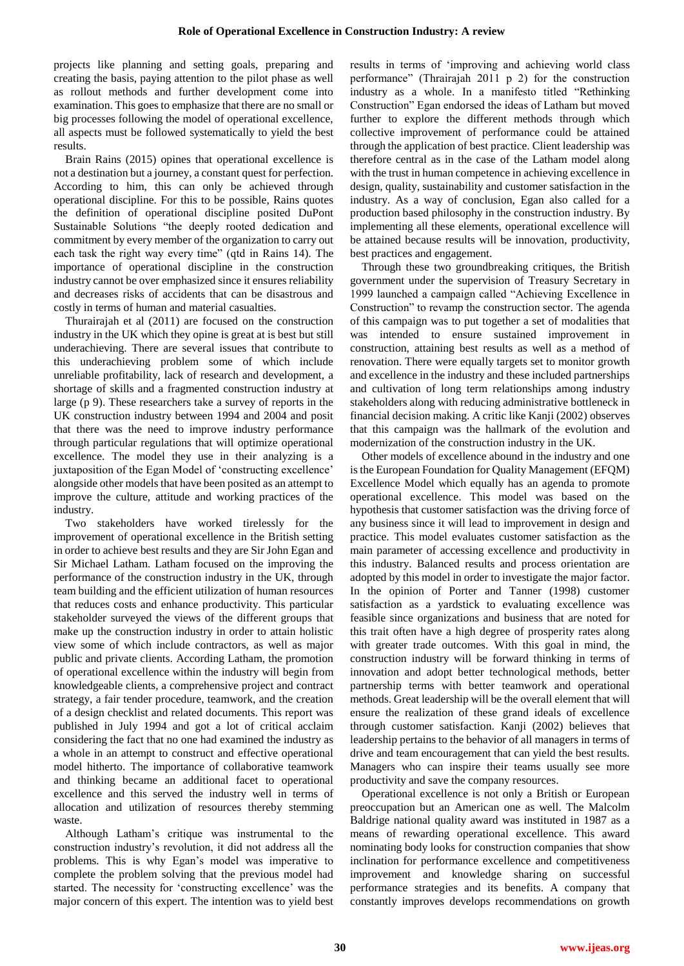projects like planning and setting goals, preparing and creating the basis, paying attention to the pilot phase as well as rollout methods and further development come into examination. This goes to emphasize that there are no small or big processes following the model of operational excellence, all aspects must be followed systematically to yield the best results.

Brain Rains (2015) opines that operational excellence is not a destination but a journey, a constant quest for perfection. According to him, this can only be achieved through operational discipline. For this to be possible, Rains quotes the definition of operational discipline posited DuPont Sustainable Solutions "the deeply rooted dedication and commitment by every member of the organization to carry out each task the right way every time" (qtd in Rains 14). The importance of operational discipline in the construction industry cannot be over emphasized since it ensures reliability and decreases risks of accidents that can be disastrous and costly in terms of human and material casualties.

Thurairajah et al (2011) are focused on the construction industry in the UK which they opine is great at is best but still underachieving. There are several issues that contribute to this underachieving problem some of which include unreliable profitability, lack of research and development, a shortage of skills and a fragmented construction industry at large (p 9). These researchers take a survey of reports in the UK construction industry between 1994 and 2004 and posit that there was the need to improve industry performance through particular regulations that will optimize operational excellence. The model they use in their analyzing is a juxtaposition of the Egan Model of 'constructing excellence' alongside other models that have been posited as an attempt to improve the culture, attitude and working practices of the industry.

Two stakeholders have worked tirelessly for the improvement of operational excellence in the British setting in order to achieve best results and they are Sir John Egan and Sir Michael Latham. Latham focused on the improving the performance of the construction industry in the UK, through team building and the efficient utilization of human resources that reduces costs and enhance productivity. This particular stakeholder surveyed the views of the different groups that make up the construction industry in order to attain holistic view some of which include contractors, as well as major public and private clients. According Latham, the promotion of operational excellence within the industry will begin from knowledgeable clients, a comprehensive project and contract strategy, a fair tender procedure, teamwork, and the creation of a design checklist and related documents. This report was published in July 1994 and got a lot of critical acclaim considering the fact that no one had examined the industry as a whole in an attempt to construct and effective operational model hitherto. The importance of collaborative teamwork and thinking became an additional facet to operational excellence and this served the industry well in terms of allocation and utilization of resources thereby stemming waste.

Although Latham's critique was instrumental to the construction industry's revolution, it did not address all the problems. This is why Egan's model was imperative to complete the problem solving that the previous model had started. The necessity for 'constructing excellence' was the major concern of this expert. The intention was to yield best results in terms of 'improving and achieving world class performance" (Thrairajah 2011 p 2) for the construction industry as a whole. In a manifesto titled "Rethinking Construction" Egan endorsed the ideas of Latham but moved further to explore the different methods through which collective improvement of performance could be attained through the application of best practice. Client leadership was therefore central as in the case of the Latham model along with the trust in human competence in achieving excellence in design, quality, sustainability and customer satisfaction in the industry. As a way of conclusion, Egan also called for a production based philosophy in the construction industry. By implementing all these elements, operational excellence will be attained because results will be innovation, productivity, best practices and engagement.

Through these two groundbreaking critiques, the British government under the supervision of Treasury Secretary in 1999 launched a campaign called "Achieving Excellence in Construction" to revamp the construction sector. The agenda of this campaign was to put together a set of modalities that was intended to ensure sustained improvement in construction, attaining best results as well as a method of renovation. There were equally targets set to monitor growth and excellence in the industry and these included partnerships and cultivation of long term relationships among industry stakeholders along with reducing administrative bottleneck in financial decision making. A critic like Kanji (2002) observes that this campaign was the hallmark of the evolution and modernization of the construction industry in the UK.

Other models of excellence abound in the industry and one is the European Foundation for Quality Management (EFQM) Excellence Model which equally has an agenda to promote operational excellence. This model was based on the hypothesis that customer satisfaction was the driving force of any business since it will lead to improvement in design and practice. This model evaluates customer satisfaction as the main parameter of accessing excellence and productivity in this industry. Balanced results and process orientation are adopted by this model in order to investigate the major factor. In the opinion of Porter and Tanner (1998) customer satisfaction as a yardstick to evaluating excellence was feasible since organizations and business that are noted for this trait often have a high degree of prosperity rates along with greater trade outcomes. With this goal in mind, the construction industry will be forward thinking in terms of innovation and adopt better technological methods, better partnership terms with better teamwork and operational methods. Great leadership will be the overall element that will ensure the realization of these grand ideals of excellence through customer satisfaction. Kanji (2002) believes that leadership pertains to the behavior of all managers in terms of drive and team encouragement that can yield the best results. Managers who can inspire their teams usually see more productivity and save the company resources.

Operational excellence is not only a British or European preoccupation but an American one as well. The Malcolm Baldrige national quality award was instituted in 1987 as a means of rewarding operational excellence. This award nominating body looks for construction companies that show inclination for performance excellence and competitiveness improvement and knowledge sharing on successful performance strategies and its benefits. A company that constantly improves develops recommendations on growth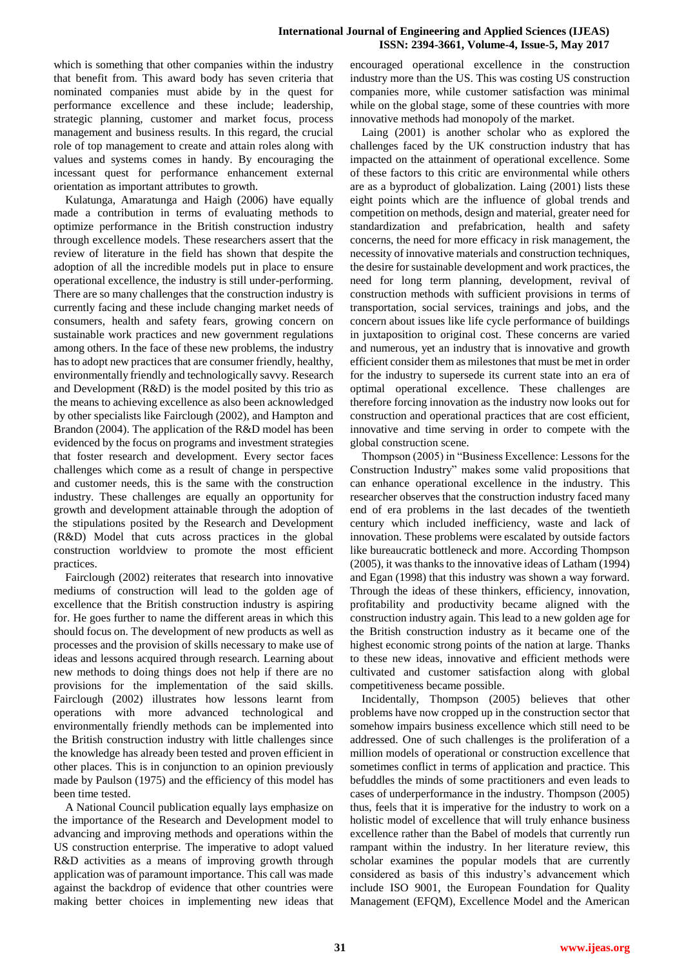which is something that other companies within the industry that benefit from. This award body has seven criteria that nominated companies must abide by in the quest for performance excellence and these include; leadership, strategic planning, customer and market focus, process management and business results. In this regard, the crucial role of top management to create and attain roles along with values and systems comes in handy. By encouraging the incessant quest for performance enhancement external orientation as important attributes to growth.

Kulatunga, Amaratunga and Haigh (2006) have equally made a contribution in terms of evaluating methods to optimize performance in the British construction industry through excellence models. These researchers assert that the review of literature in the field has shown that despite the adoption of all the incredible models put in place to ensure operational excellence, the industry is still under-performing. There are so many challenges that the construction industry is currently facing and these include changing market needs of consumers, health and safety fears, growing concern on sustainable work practices and new government regulations among others. In the face of these new problems, the industry has to adopt new practices that are consumer friendly, healthy, environmentally friendly and technologically savvy. Research and Development (R&D) is the model posited by this trio as the means to achieving excellence as also been acknowledged by other specialists like Fairclough (2002), and Hampton and Brandon (2004). The application of the R&D model has been evidenced by the focus on programs and investment strategies that foster research and development. Every sector faces challenges which come as a result of change in perspective and customer needs, this is the same with the construction industry. These challenges are equally an opportunity for growth and development attainable through the adoption of the stipulations posited by the Research and Development (R&D) Model that cuts across practices in the global construction worldview to promote the most efficient practices.

Fairclough (2002) reiterates that research into innovative mediums of construction will lead to the golden age of excellence that the British construction industry is aspiring for. He goes further to name the different areas in which this should focus on. The development of new products as well as processes and the provision of skills necessary to make use of ideas and lessons acquired through research. Learning about new methods to doing things does not help if there are no provisions for the implementation of the said skills. Fairclough (2002) illustrates how lessons learnt from operations with more advanced technological and environmentally friendly methods can be implemented into the British construction industry with little challenges since the knowledge has already been tested and proven efficient in other places. This is in conjunction to an opinion previously made by Paulson (1975) and the efficiency of this model has been time tested.

A National Council publication equally lays emphasize on the importance of the Research and Development model to advancing and improving methods and operations within the US construction enterprise. The imperative to adopt valued R&D activities as a means of improving growth through application was of paramount importance. This call was made against the backdrop of evidence that other countries were making better choices in implementing new ideas that encouraged operational excellence in the construction industry more than the US. This was costing US construction companies more, while customer satisfaction was minimal while on the global stage, some of these countries with more innovative methods had monopoly of the market.

Laing (2001) is another scholar who as explored the challenges faced by the UK construction industry that has impacted on the attainment of operational excellence. Some of these factors to this critic are environmental while others are as a byproduct of globalization. Laing (2001) lists these eight points which are the influence of global trends and competition on methods, design and material, greater need for standardization and prefabrication, health and safety concerns, the need for more efficacy in risk management, the necessity of innovative materials and construction techniques, the desire for sustainable development and work practices, the need for long term planning, development, revival of construction methods with sufficient provisions in terms of transportation, social services, trainings and jobs, and the concern about issues like life cycle performance of buildings in juxtaposition to original cost. These concerns are varied and numerous, yet an industry that is innovative and growth efficient consider them as milestones that must be met in order for the industry to supersede its current state into an era of optimal operational excellence. These challenges are therefore forcing innovation as the industry now looks out for construction and operational practices that are cost efficient, innovative and time serving in order to compete with the global construction scene.

Thompson (2005) in "Business Excellence: Lessons for the Construction Industry" makes some valid propositions that can enhance operational excellence in the industry. This researcher observes that the construction industry faced many end of era problems in the last decades of the twentieth century which included inefficiency, waste and lack of innovation. These problems were escalated by outside factors like bureaucratic bottleneck and more. According Thompson (2005), it was thanks to the innovative ideas of Latham (1994) and Egan (1998) that this industry was shown a way forward. Through the ideas of these thinkers, efficiency, innovation, profitability and productivity became aligned with the construction industry again. This lead to a new golden age for the British construction industry as it became one of the highest economic strong points of the nation at large. Thanks to these new ideas, innovative and efficient methods were cultivated and customer satisfaction along with global competitiveness became possible.

Incidentally, Thompson (2005) believes that other problems have now cropped up in the construction sector that somehow impairs business excellence which still need to be addressed. One of such challenges is the proliferation of a million models of operational or construction excellence that sometimes conflict in terms of application and practice. This befuddles the minds of some practitioners and even leads to cases of underperformance in the industry. Thompson (2005) thus, feels that it is imperative for the industry to work on a holistic model of excellence that will truly enhance business excellence rather than the Babel of models that currently run rampant within the industry. In her literature review, this scholar examines the popular models that are currently considered as basis of this industry's advancement which include ISO 9001, the European Foundation for Quality Management (EFQM), Excellence Model and the American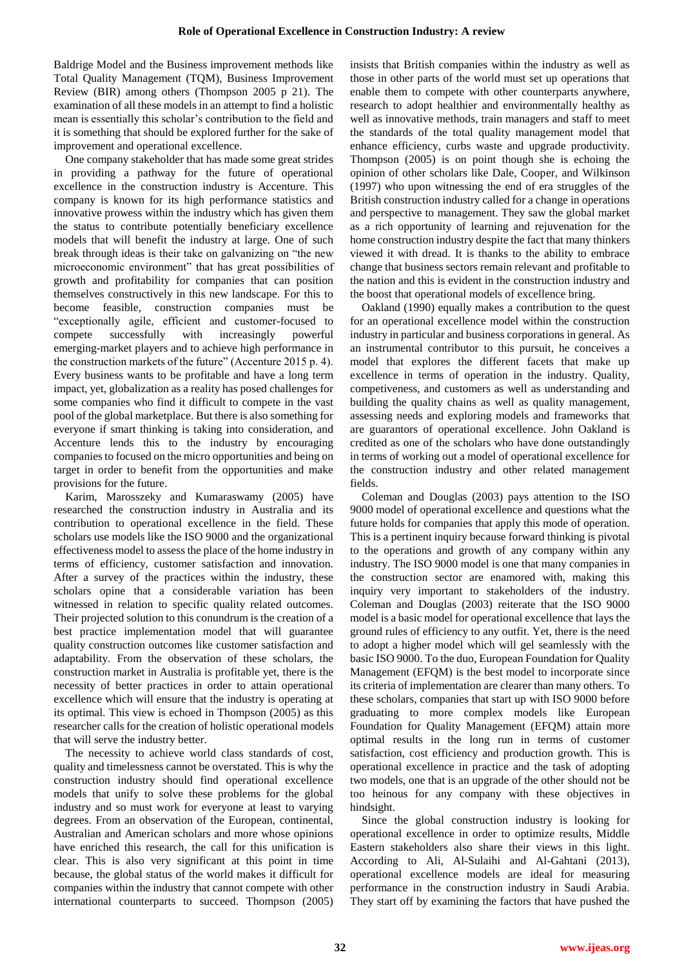Baldrige Model and the Business improvement methods like Total Quality Management (TQM), Business Improvement Review (BIR) among others (Thompson 2005 p 21). The examination of all these models in an attempt to find a holistic mean is essentially this scholar's contribution to the field and it is something that should be explored further for the sake of improvement and operational excellence.

One company stakeholder that has made some great strides in providing a pathway for the future of operational excellence in the construction industry is Accenture. This company is known for its high performance statistics and innovative prowess within the industry which has given them the status to contribute potentially beneficiary excellence models that will benefit the industry at large. One of such break through ideas is their take on galvanizing on "the new microeconomic environment" that has great possibilities of growth and profitability for companies that can position themselves constructively in this new landscape. For this to become feasible, construction companies must be "exceptionally agile, efficient and customer-focused to compete successfully with increasingly powerful emerging-market players and to achieve high performance in the construction markets of the future" (Accenture 2015 p. 4). Every business wants to be profitable and have a long term impact, yet, globalization as a reality has posed challenges for some companies who find it difficult to compete in the vast pool of the global marketplace. But there is also something for everyone if smart thinking is taking into consideration, and Accenture lends this to the industry by encouraging companies to focused on the micro opportunities and being on target in order to benefit from the opportunities and make provisions for the future.

Karim, Marosszeky and Kumaraswamy (2005) have researched the construction industry in Australia and its contribution to operational excellence in the field. These scholars use models like the ISO 9000 and the organizational effectiveness model to assess the place of the home industry in terms of efficiency, customer satisfaction and innovation. After a survey of the practices within the industry, these scholars opine that a considerable variation has been witnessed in relation to specific quality related outcomes. Their projected solution to this conundrum is the creation of a best practice implementation model that will guarantee quality construction outcomes like customer satisfaction and adaptability. From the observation of these scholars, the construction market in Australia is profitable yet, there is the necessity of better practices in order to attain operational excellence which will ensure that the industry is operating at its optimal. This view is echoed in Thompson (2005) as this researcher calls for the creation of holistic operational models that will serve the industry better.

The necessity to achieve world class standards of cost, quality and timelessness cannot be overstated. This is why the construction industry should find operational excellence models that unify to solve these problems for the global industry and so must work for everyone at least to varying degrees. From an observation of the European, continental, Australian and American scholars and more whose opinions have enriched this research, the call for this unification is clear. This is also very significant at this point in time because, the global status of the world makes it difficult for companies within the industry that cannot compete with other international counterparts to succeed. Thompson (2005) insists that British companies within the industry as well as those in other parts of the world must set up operations that enable them to compete with other counterparts anywhere, research to adopt healthier and environmentally healthy as well as innovative methods, train managers and staff to meet the standards of the total quality management model that enhance efficiency, curbs waste and upgrade productivity. Thompson (2005) is on point though she is echoing the opinion of other scholars like Dale, Cooper, and Wilkinson (1997) who upon witnessing the end of era struggles of the British construction industry called for a change in operations and perspective to management. They saw the global market as a rich opportunity of learning and rejuvenation for the home construction industry despite the fact that many thinkers viewed it with dread. It is thanks to the ability to embrace change that business sectors remain relevant and profitable to the nation and this is evident in the construction industry and the boost that operational models of excellence bring.

Oakland (1990) equally makes a contribution to the quest for an operational excellence model within the construction industry in particular and business corporations in general. As an instrumental contributor to this pursuit, he conceives a model that explores the different facets that make up excellence in terms of operation in the industry. Quality, competiveness, and customers as well as understanding and building the quality chains as well as quality management, assessing needs and exploring models and frameworks that are guarantors of operational excellence. John Oakland is credited as one of the scholars who have done outstandingly in terms of working out a model of operational excellence for the construction industry and other related management fields.

Coleman and Douglas (2003) pays attention to the ISO 9000 model of operational excellence and questions what the future holds for companies that apply this mode of operation. This is a pertinent inquiry because forward thinking is pivotal to the operations and growth of any company within any industry. The ISO 9000 model is one that many companies in the construction sector are enamored with, making this inquiry very important to stakeholders of the industry. Coleman and Douglas (2003) reiterate that the ISO 9000 model is a basic model for operational excellence that lays the ground rules of efficiency to any outfit. Yet, there is the need to adopt a higher model which will gel seamlessly with the basic ISO 9000. To the duo, European Foundation for Quality Management (EFQM) is the best model to incorporate since its criteria of implementation are clearer than many others. To these scholars, companies that start up with ISO 9000 before graduating to more complex models like European Foundation for Quality Management (EFQM) attain more optimal results in the long run in terms of customer satisfaction, cost efficiency and production growth. This is operational excellence in practice and the task of adopting two models, one that is an upgrade of the other should not be too heinous for any company with these objectives in hindsight.

Since the global construction industry is looking for operational excellence in order to optimize results, Middle Eastern stakeholders also share their views in this light. According to Ali, Al-Sulaihi and Al-Gahtani (2013), operational excellence models are ideal for measuring performance in the construction industry in Saudi Arabia. They start off by examining the factors that have pushed the